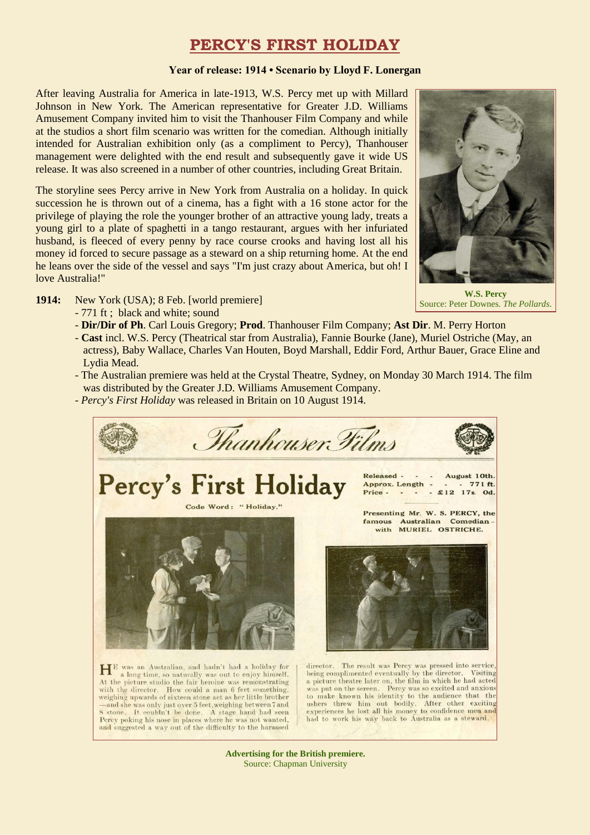# **PERCY'S FIRST HOLIDAY**

#### **Year of release: 1914 • Scenario by Lloyd F. Lonergan**

After leaving Australia for America in late-1913, W.S. Percy met up with Millard Johnson in New York. The American representative for Greater J.D. Williams Amusement Company invited him to visit the Thanhouser Film Company and while at the studios a short film scenario was written for the comedian. Although initially intended for Australian exhibition only (as a compliment to Percy), Thanhouser management were delighted with the end result and subsequently gave it wide US release. It was also screened in a number of other countries, including Great Britain.

The storyline sees Percy arrive in New York from Australia on a holiday. In quick succession he is thrown out of a cinema, has a fight with a 16 stone actor for the privilege of playing the role the younger brother of an attractive young lady, treats a young girl to a plate of spaghetti in a tango restaurant, argues with her infuriated husband, is fleeced of every penny by race course crooks and having lost all his money id forced to secure passage as a steward on a ship returning home. At the end he leans over the side of the vessel and says "I'm just crazy about America, but oh! I love Australia!"



Source: Peter Downes. *The Pollards*.

- **1914:** New York (USA); 8 Feb. [world premiere]
	- 771 ft ; black and white; sound
	- **Dir/Dir of Ph**. Carl Louis Gregory; **Prod**. Thanhouser Film Company; **Ast Dir**. M. Perry Horton
	- **Cast** incl. W.S. Percy (Theatrical star from Australia), Fannie Bourke (Jane), Muriel Ostriche (May, an actress), Baby Wallace, Charles Van Houten, Boyd Marshall, Eddir Ford, Arthur Bauer, Grace Eline and Lydia Mead.
	- The Australian premiere was held at the Crystal Theatre, Sydney, on Monday 30 March 1914. The film was distributed by the Greater J.D. Williams Amusement Company.
	- *Percy's First Holiday* was released in Britain on 10 August 1914.

and suggested a way out of the difficulty to the harassed



**Advertising for the British premiere.** Source: Chapman University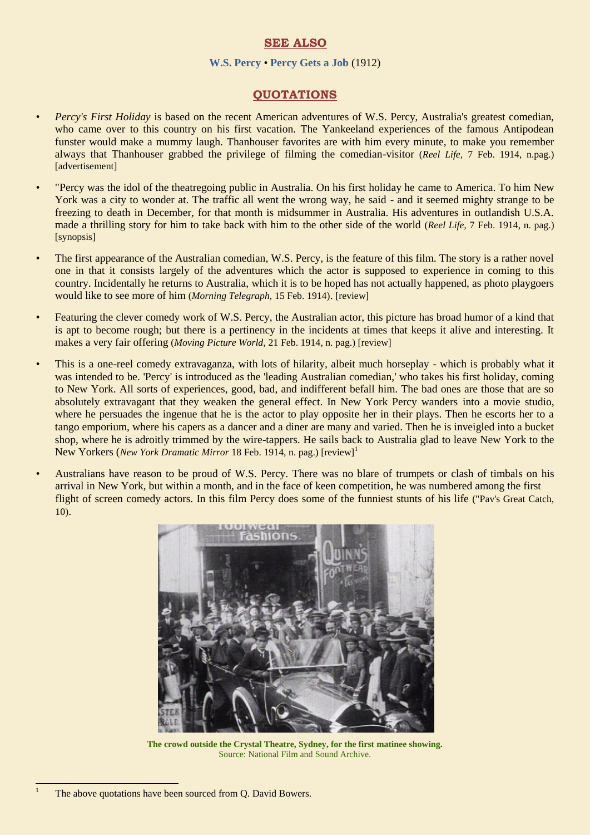## **SEE ALSO**

#### **[W.S. Percy](https://ozvta.com/practitioners-p-q/)** • **[Percy Gets a Job](https://ozvta.com/film-vaudeville/)** (1912)

## **QUOTATIONS**

- *• Percy's First Holiday* is based on the recent American adventures of W.S. Percy, Australia's greatest comedian, who came over to this country on his first vacation. The Yankeeland experiences of the famous Antipodean funster would make a mummy laugh. Thanhouser favorites are with him every minute, to make you remember always that Thanhouser grabbed the privilege of filming the comedian-visitor (*Reel Life,* 7 Feb. 1914, n.pag.) [advertisement]
- *•* "Percy was the idol of the theatregoing public in Australia. On his first holiday he came to America. To him New York was a city to wonder at. The traffic all went the wrong way, he said - and it seemed mighty strange to be freezing to death in December, for that month is midsummer in Australia. His adventures in outlandish U.S.A. made a thrilling story for him to take back with him to the other side of the world (*Reel Life,* 7 Feb. 1914, n. pag.) [synopsis]
- The first appearance of the Australian comedian, W.S. Percy, is the feature of this film. The story is a rather novel one in that it consists largely of the adventures which the actor is supposed to experience in coming to this country. Incidentally he returns to Australia, which it is to be hoped has not actually happened, as photo playgoers would like to see more of him (*Morning Telegraph,* 15 Feb. 1914). [review]
- *•* Featuring the clever comedy work of W.S. Percy, the Australian actor, this picture has broad humor of a kind that is apt to become rough; but there is a pertinency in the incidents at times that keeps it alive and interesting. It makes a very fair offering (*Moving Picture World,* 21 Feb. 1914, n. pag.) [review]
- *•* This is a one-reel comedy extravaganza, with lots of hilarity, albeit much horseplay which is probably what it was intended to be. 'Percy' is introduced as the 'leading Australian comedian,' who takes his first holiday, coming to New York. All sorts of experiences, good, bad, and indifferent befall him. The bad ones are those that are so absolutely extravagant that they weaken the general effect. In New York Percy wanders into a movie studio, where he persuades the ingenue that he is the actor to play opposite her in their plays. Then he escorts her to a tango emporium, where his capers as a dancer and a diner are many and varied. Then he is inveigled into a bucket shop, where he is adroitly trimmed by the wire-tappers. He sails back to Australia glad to leave New York to the New Yorkers (*New York Dramatic Mirror* 18 Feb. 1914, n. pag.) [review]<sup>1</sup>
- Australians have reason to be proud of W.S. Percy. There was no blare of trumpets or clash of timbals on his arrival in New York, but within a month, and in the face of keen competition, he was numbered among the first flight of screen comedy actors. In this film Percy does some of the funniest stunts of his life ("Pav's Great Catch, 10).



**The crowd outside the Crystal Theatre, Sydney, for the first matinee showing.** Source: National Film and Sound Archive.

1

The above quotations have been sourced from Q. David Bowers.